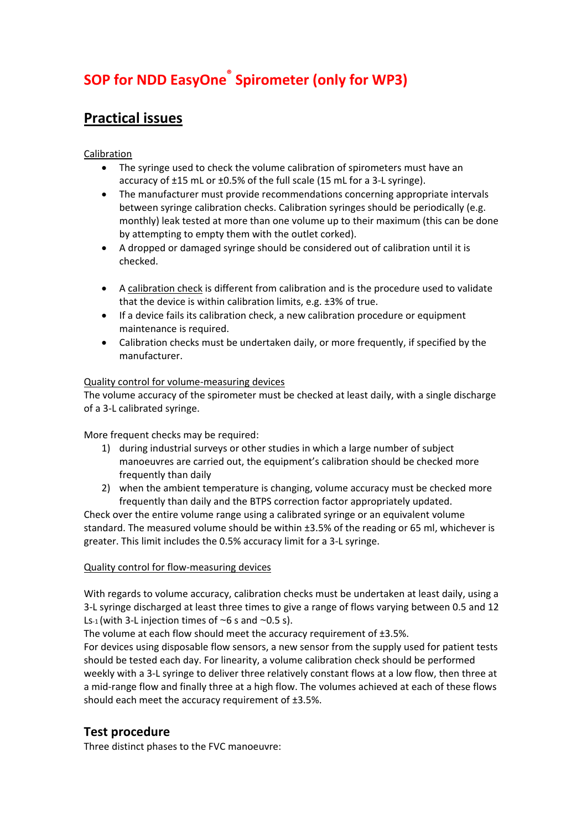# **SOP for NDD EasyOne® Spirometer (only for WP3)**

## **Practical issues**

#### Calibration

- The syringe used to check the volume calibration of spirometers must have an accuracy of ±15 mL or ±0.5% of the full scale (15 mL for a 3‐L syringe).
- The manufacturer must provide recommendations concerning appropriate intervals between syringe calibration checks. Calibration syringes should be periodically (e.g. monthly) leak tested at more than one volume up to their maximum (this can be done by attempting to empty them with the outlet corked).
- A dropped or damaged syringe should be considered out of calibration until it is checked.
- A calibration check is different from calibration and is the procedure used to validate that the device is within calibration limits, e.g. ±3% of true.
- If a device fails its calibration check, a new calibration procedure or equipment maintenance is required.
- Calibration checks must be undertaken daily, or more frequently, if specified by the manufacturer.

#### Quality control for volume‐measuring devices

The volume accuracy of the spirometer must be checked at least daily, with a single discharge of a 3‐L calibrated syringe.

More frequent checks may be required:

- 1) during industrial surveys or other studies in which a large number of subject manoeuvres are carried out, the equipment's calibration should be checked more frequently than daily
- 2) when the ambient temperature is changing, volume accuracy must be checked more frequently than daily and the BTPS correction factor appropriately updated.

Check over the entire volume range using a calibrated syringe or an equivalent volume standard. The measured volume should be within ±3.5% of the reading or 65 ml, whichever is greater. This limit includes the 0.5% accuracy limit for a 3‐L syringe.

## Quality control for flow‐measuring devices

With regards to volume accuracy, calibration checks must be undertaken at least daily, using a 3‐L syringe discharged at least three times to give a range of flows varying between 0.5 and 12 Ls-1 (with 3-L injection times of  $\sim$  6 s and  $\sim$  0.5 s).

The volume at each flow should meet the accuracy requirement of ±3.5%.

For devices using disposable flow sensors, a new sensor from the supply used for patient tests should be tested each day. For linearity, a volume calibration check should be performed weekly with a 3‐L syringe to deliver three relatively constant flows at a low flow, then three at a mid-range flow and finally three at a high flow. The volumes achieved at each of these flows should each meet the accuracy requirement of ±3.5%.

## **Test procedure**

Three distinct phases to the FVC manoeuvre: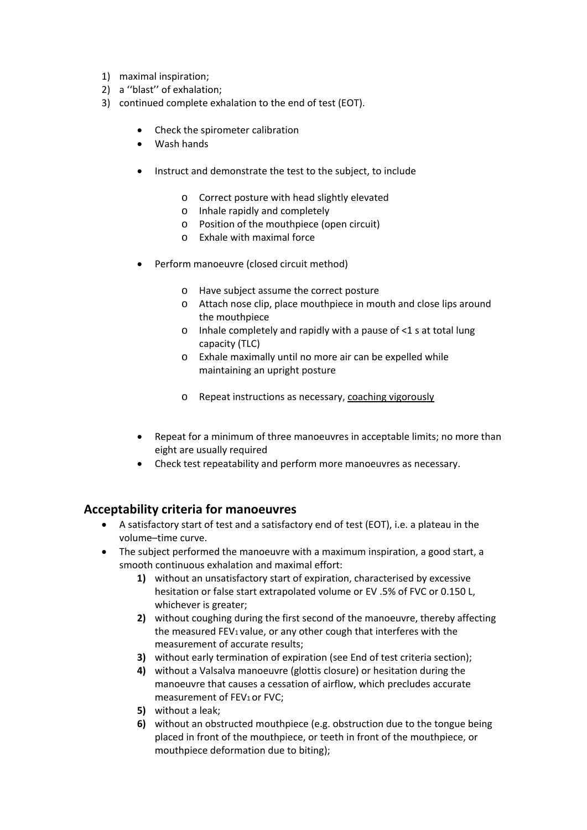- 1) maximal inspiration;
- 2) a ''blast'' of exhalation;
- 3) continued complete exhalation to the end of test (EOT).
	- Check the spirometer calibration
	- Wash hands
	- Instruct and demonstrate the test to the subject, to include
		- o Correct posture with head slightly elevated
		- o Inhale rapidly and completely
		- o Position of the mouthpiece (open circuit)
		- o Exhale with maximal force
	- Perform manoeuvre (closed circuit method)
		- o Have subject assume the correct posture
		- o Attach nose clip, place mouthpiece in mouth and close lips around the mouthpiece
		- o Inhale completely and rapidly with a pause of <1 s at total lung capacity (TLC)
		- o Exhale maximally until no more air can be expelled while maintaining an upright posture
		- o Repeat instructions as necessary, coaching vigorously
	- Repeat for a minimum of three manoeuvres in acceptable limits; no more than eight are usually required
	- Check test repeatability and perform more manoeuvres as necessary.

## **Acceptability criteria for manoeuvres**

- A satisfactory start of test and a satisfactory end of test (EOT), i.e. a plateau in the volume–time curve.
- The subject performed the manoeuvre with a maximum inspiration, a good start, a smooth continuous exhalation and maximal effort:
	- **1)** without an unsatisfactory start of expiration, characterised by excessive hesitation or false start extrapolated volume or EV .5% of FVC or 0.150 L, whichever is greater;
	- **2)** without coughing during the first second of the manoeuvre, thereby affecting the measured FEV<sub>1</sub> value, or any other cough that interferes with the measurement of accurate results;
	- **3)** without early termination of expiration (see End of test criteria section);
	- **4)** without a Valsalva manoeuvre (glottis closure) or hesitation during the manoeuvre that causes a cessation of airflow, which precludes accurate measurement of FFV<sub>1</sub> or FVC:
	- **5)** without a leak;
	- **6)** without an obstructed mouthpiece (e.g. obstruction due to the tongue being placed in front of the mouthpiece, or teeth in front of the mouthpiece, or mouthpiece deformation due to biting);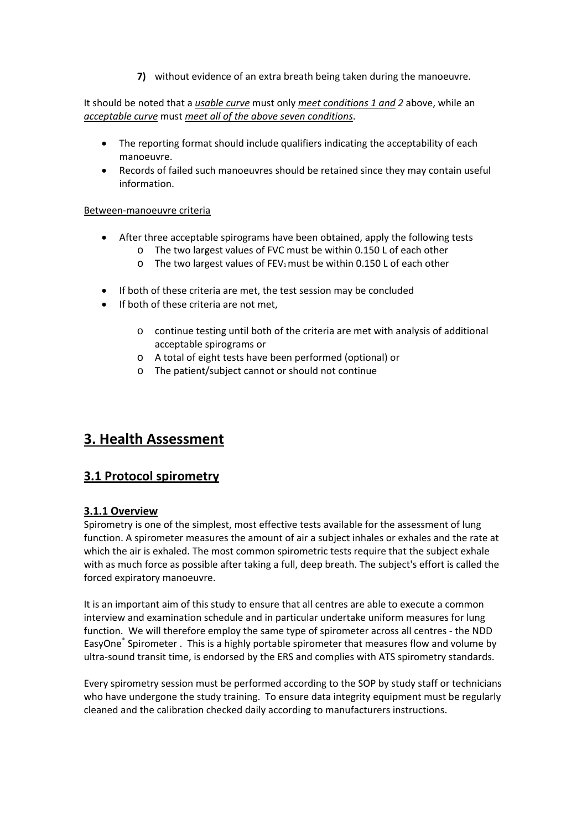**7)** without evidence of an extra breath being taken during the manoeuvre.

It should be noted that a *usable curve* must only *meet conditions 1 and 2* above, while an *acceptable curve* must *meet all of the above seven conditions*.

- The reporting format should include qualifiers indicating the acceptability of each manoeuvre.
- Records of failed such manoeuvres should be retained since they may contain useful information.

#### Between‐manoeuvre criteria

- After three acceptable spirograms have been obtained, apply the following tests
	- o The two largest values of FVC must be within 0.150 L of each other
	- $\circ$  The two largest values of FEV<sub>1</sub> must be within 0.150 L of each other
- If both of these criteria are met, the test session may be concluded
- If both of these criteria are not met,
	- o continue testing until both of the criteria are met with analysis of additional acceptable spirograms or
	- o A total of eight tests have been performed (optional) or
	- o The patient/subject cannot or should not continue

## **3. Health Assessment**

## **3.1 Protocol spirometry**

#### **3.1.1 Overview**

Spirometry is one of the simplest, most effective tests available for the assessment of lung function. A spirometer measures the amount of air a subject inhales or exhales and the rate at which the air is exhaled. The most common spirometric tests require that the subject exhale with as much force as possible after taking a full, deep breath. The subject's effort is called the forced expiratory manoeuvre.

It is an important aim of this study to ensure that all centres are able to execute a common interview and examination schedule and in particular undertake uniform measures for lung function. We will therefore employ the same type of spirometer across all centres ‐ the NDD EasyOne® Spirometer . This is a highly portable spirometer that measures flow and volume by ultra‐sound transit time, is endorsed by the ERS and complies with ATS spirometry standards.

Every spirometry session must be performed according to the SOP by study staff or technicians who have undergone the study training. To ensure data integrity equipment must be regularly cleaned and the calibration checked daily according to manufacturers instructions.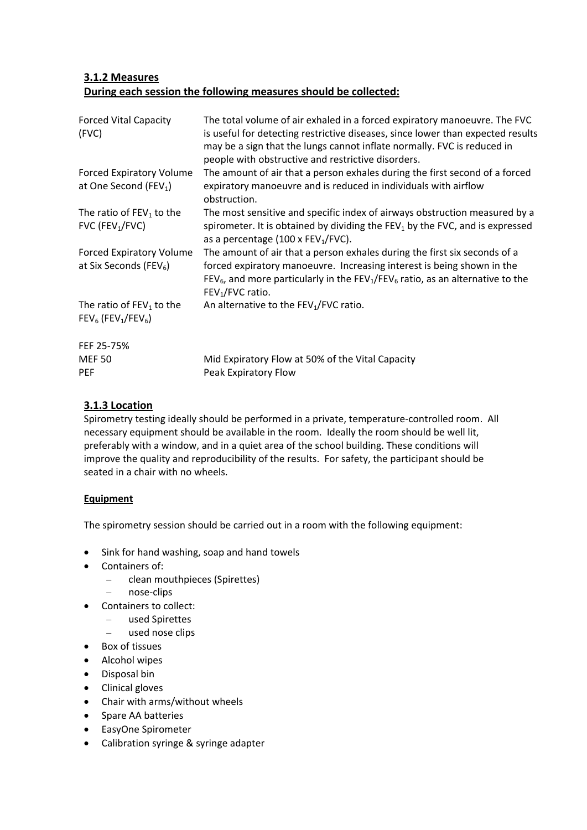#### **3.1.2 Measures During each session the following measures should be collected:**

| <b>Forced Vital Capacity</b><br>(FVC)                                        | The total volume of air exhaled in a forced expiratory manoeuvre. The FVC<br>is useful for detecting restrictive diseases, since lower than expected results<br>may be a sign that the lungs cannot inflate normally. FVC is reduced in<br>people with obstructive and restrictive disorders.  |
|------------------------------------------------------------------------------|------------------------------------------------------------------------------------------------------------------------------------------------------------------------------------------------------------------------------------------------------------------------------------------------|
| <b>Forced Expiratory Volume</b><br>at One Second (FEV <sub>1</sub> )         | The amount of air that a person exhales during the first second of a forced<br>expiratory manoeuvre and is reduced in individuals with airflow<br>obstruction.                                                                                                                                 |
| The ratio of $FEV_1$ to the<br>$FVC$ (FEV <sub>1</sub> /FVC)                 | The most sensitive and specific index of airways obstruction measured by a<br>spirometer. It is obtained by dividing the $FEV1$ by the FVC, and is expressed<br>as a percentage (100 x $FEV1/FVC$ ).                                                                                           |
| <b>Forced Expiratory Volume</b><br>at Six Seconds (FEV <sub>6</sub> )        | The amount of air that a person exhales during the first six seconds of a<br>forced expiratory manoeuvre. Increasing interest is being shown in the<br>FEV <sub>6</sub> , and more particularly in the FEV <sub>1</sub> /FEV <sub>6</sub> ratio, as an alternative to the<br>$FEV1/FVC$ ratio. |
| The ratio of $FEV_1$ to the<br>$FEV_6$ (FEV <sub>1</sub> /FEV <sub>6</sub> ) | An alternative to the $FEV1/FVC$ ratio.                                                                                                                                                                                                                                                        |
| FEF 25-75%                                                                   |                                                                                                                                                                                                                                                                                                |
| <b>MEF 50</b><br>PEF                                                         | Mid Expiratory Flow at 50% of the Vital Capacity<br>Peak Expiratory Flow                                                                                                                                                                                                                       |

## **3.1.3 Location**

Spirometry testing ideally should be performed in a private, temperature‐controlled room. All necessary equipment should be available in the room. Ideally the room should be well lit, preferably with a window, and in a quiet area of the school building. These conditions will improve the quality and reproducibility of the results. For safety, the participant should be seated in a chair with no wheels.

## **Equipment**

The spirometry session should be carried out in a room with the following equipment:

- Sink for hand washing, soap and hand towels
- Containers of:
	- − clean mouthpieces (Spirettes)
	- − nose‐clips
- Containers to collect:
	- − used Spirettes
	- − used nose clips
- Box of tissues
- Alcohol wipes
- Disposal bin
- Clinical gloves
- Chair with arms/without wheels
- Spare AA batteries
- EasyOne Spirometer
- Calibration syringe & syringe adapter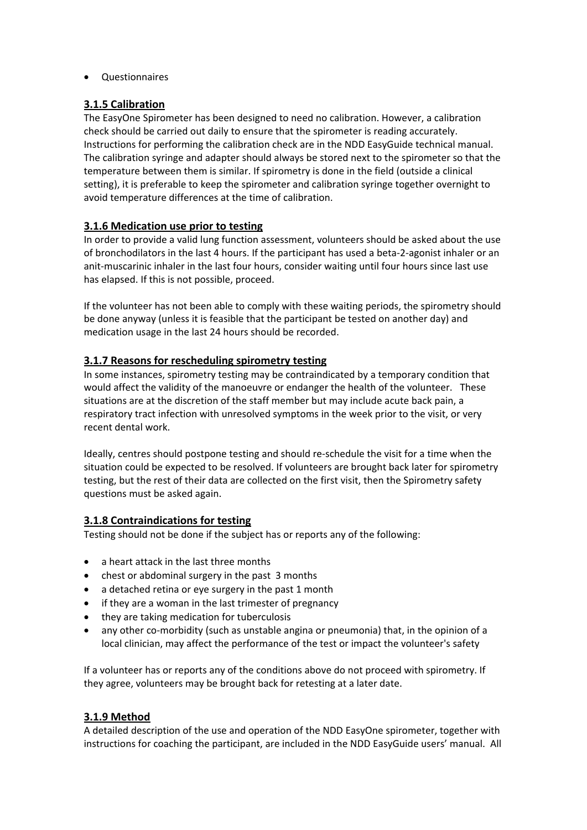**Questionnaires** 

#### **3.1.5 Calibration**

The EasyOne Spirometer has been designed to need no calibration. However, a calibration check should be carried out daily to ensure that the spirometer is reading accurately. Instructions for performing the calibration check are in the NDD EasyGuide technical manual. The calibration syringe and adapter should always be stored next to the spirometer so that the temperature between them is similar. If spirometry is done in the field (outside a clinical setting), it is preferable to keep the spirometer and calibration syringe together overnight to avoid temperature differences at the time of calibration.

#### **3.1.6 Medication use prior to testing**

In order to provide a valid lung function assessment, volunteers should be asked about the use of bronchodilators in the last 4 hours. If the participant has used a beta‐2‐agonist inhaler or an anit-muscarinic inhaler in the last four hours, consider waiting until four hours since last use has elapsed. If this is not possible, proceed.

If the volunteer has not been able to comply with these waiting periods, the spirometry should be done anyway (unless it is feasible that the participant be tested on another day) and medication usage in the last 24 hours should be recorded.

#### **3.1.7 Reasons for rescheduling spirometry testing**

In some instances, spirometry testing may be contraindicated by a temporary condition that would affect the validity of the manoeuvre or endanger the health of the volunteer. These situations are at the discretion of the staff member but may include acute back pain, a respiratory tract infection with unresolved symptoms in the week prior to the visit, or very recent dental work.

Ideally, centres should postpone testing and should re‐schedule the visit for a time when the situation could be expected to be resolved. If volunteers are brought back later for spirometry testing, but the rest of their data are collected on the first visit, then the Spirometry safety questions must be asked again.

#### **3.1.8 Contraindications for testing**

Testing should not be done if the subject has or reports any of the following:

- a heart attack in the last three months
- chest or abdominal surgery in the past 3 months
- a detached retina or eye surgery in the past 1 month
- if they are a woman in the last trimester of pregnancy
- they are taking medication for tuberculosis
- any other co-morbidity (such as unstable angina or pneumonia) that, in the opinion of a local clinician, may affect the performance of the test or impact the volunteer's safety

If a volunteer has or reports any of the conditions above do not proceed with spirometry. If they agree, volunteers may be brought back for retesting at a later date.

#### **3.1.9 Method**

A detailed description of the use and operation of the NDD EasyOne spirometer, together with instructions for coaching the participant, are included in the NDD EasyGuide users' manual. All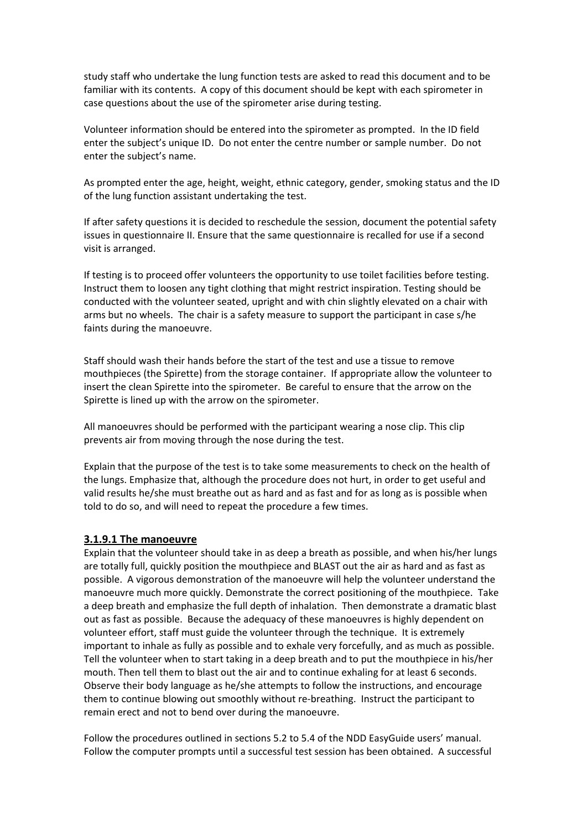study staff who undertake the lung function tests are asked to read this document and to be familiar with its contents. A copy of this document should be kept with each spirometer in case questions about the use of the spirometer arise during testing.

Volunteer information should be entered into the spirometer as prompted. In the ID field enter the subject's unique ID. Do not enter the centre number or sample number. Do not enter the subject's name.

As prompted enter the age, height, weight, ethnic category, gender, smoking status and the ID of the lung function assistant undertaking the test.

If after safety questions it is decided to reschedule the session, document the potential safety issues in questionnaire II. Ensure that the same questionnaire is recalled for use if a second visit is arranged.

If testing is to proceed offer volunteers the opportunity to use toilet facilities before testing. Instruct them to loosen any tight clothing that might restrict inspiration. Testing should be conducted with the volunteer seated, upright and with chin slightly elevated on a chair with arms but no wheels. The chair is a safety measure to support the participant in case s/he faints during the manoeuvre.

Staff should wash their hands before the start of the test and use a tissue to remove mouthpieces (the Spirette) from the storage container. If appropriate allow the volunteer to insert the clean Spirette into the spirometer. Be careful to ensure that the arrow on the Spirette is lined up with the arrow on the spirometer.

All manoeuvres should be performed with the participant wearing a nose clip. This clip prevents air from moving through the nose during the test.

Explain that the purpose of the test is to take some measurements to check on the health of the lungs. Emphasize that, although the procedure does not hurt, in order to get useful and valid results he/she must breathe out as hard and as fast and for as long as is possible when told to do so, and will need to repeat the procedure a few times.

#### **3.1.9.1 The manoeuvre**

Explain that the volunteer should take in as deep a breath as possible, and when his/her lungs are totally full, quickly position the mouthpiece and BLAST out the air as hard and as fast as possible. A vigorous demonstration of the manoeuvre will help the volunteer understand the manoeuvre much more quickly. Demonstrate the correct positioning of the mouthpiece. Take a deep breath and emphasize the full depth of inhalation. Then demonstrate a dramatic blast out as fast as possible. Because the adequacy of these manoeuvres is highly dependent on volunteer effort, staff must guide the volunteer through the technique. It is extremely important to inhale as fully as possible and to exhale very forcefully, and as much as possible. Tell the volunteer when to start taking in a deep breath and to put the mouthpiece in his/her mouth. Then tell them to blast out the air and to continue exhaling for at least 6 seconds. Observe their body language as he/she attempts to follow the instructions, and encourage them to continue blowing out smoothly without re‐breathing. Instruct the participant to remain erect and not to bend over during the manoeuvre.

Follow the procedures outlined in sections 5.2 to 5.4 of the NDD EasyGuide users' manual. Follow the computer prompts until a successful test session has been obtained. A successful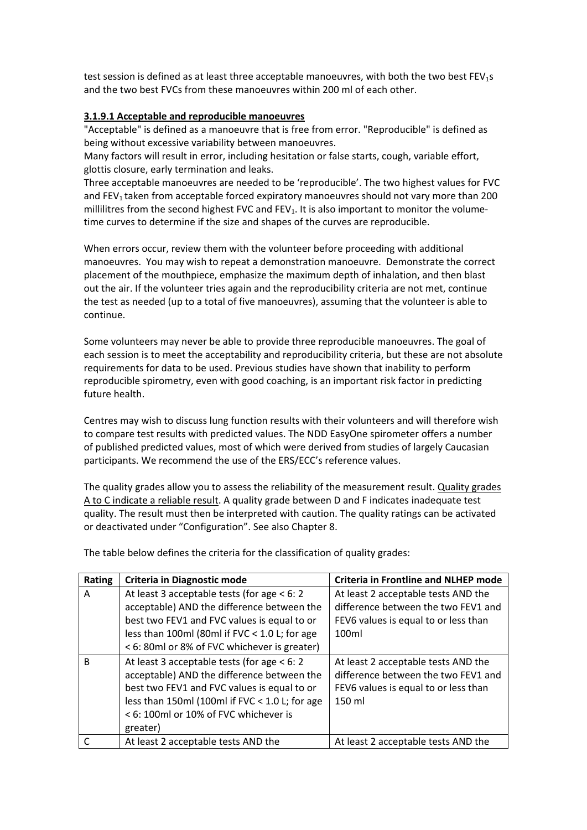test session is defined as at least three acceptable manoeuvres, with both the two best  $FEV<sub>1</sub>s$ and the two best FVCs from these manoeuvres within 200 ml of each other.

#### **3.1.9.1 Acceptable and reproducible manoeuvres**

"Acceptable" is defined as a manoeuvre that is free from error. "Reproducible" is defined as being without excessive variability between manoeuvres.

Many factors will result in error, including hesitation or false starts, cough, variable effort, glottis closure, early termination and leaks.

Three acceptable manoeuvres are needed to be 'reproducible'. The two highest values for FVC and  $FEV<sub>1</sub>$  taken from acceptable forced expiratory manoeuvres should not vary more than 200 millilitres from the second highest FVC and FEV<sub>1</sub>. It is also important to monitor the volumetime curves to determine if the size and shapes of the curves are reproducible.

When errors occur, review them with the volunteer before proceeding with additional manoeuvres. You may wish to repeat a demonstration manoeuvre. Demonstrate the correct placement of the mouthpiece, emphasize the maximum depth of inhalation, and then blast out the air. If the volunteer tries again and the reproducibility criteria are not met, continue the test as needed (up to a total of five manoeuvres), assuming that the volunteer is able to continue.

Some volunteers may never be able to provide three reproducible manoeuvres. The goal of each session is to meet the acceptability and reproducibility criteria, but these are not absolute requirements for data to be used. Previous studies have shown that inability to perform reproducible spirometry, even with good coaching, is an important risk factor in predicting future health.

Centres may wish to discuss lung function results with their volunteers and will therefore wish to compare test results with predicted values. The NDD EasyOne spirometer offers a number of published predicted values, most of which were derived from studies of largely Caucasian participants. We recommend the use of the ERS/ECC's reference values.

The quality grades allow you to assess the reliability of the measurement result. Quality grades A to C indicate a reliable result. A quality grade between D and F indicates inadequate test quality. The result must then be interpreted with caution. The quality ratings can be activated or deactivated under "Configuration". See also Chapter 8.

| <b>Rating</b> | <b>Criteria in Diagnostic mode</b>               | <b>Criteria in Frontline and NLHEP mode</b> |
|---------------|--------------------------------------------------|---------------------------------------------|
| A             | At least 3 acceptable tests (for age < 6: 2      | At least 2 acceptable tests AND the         |
|               | acceptable) AND the difference between the       | difference between the two FEV1 and         |
|               | best two FEV1 and FVC values is equal to or      | FEV6 values is equal to or less than        |
|               | less than 100ml (80ml if $FVC < 1.0$ L; for age  | 100ml                                       |
|               | < 6: 80ml or 8% of FVC whichever is greater)     |                                             |
| <sub>R</sub>  | At least 3 acceptable tests (for age < 6: 2      | At least 2 acceptable tests AND the         |
|               | acceptable) AND the difference between the       | difference between the two FEV1 and         |
|               | best two FEV1 and FVC values is equal to or      | FEV6 values is equal to or less than        |
|               | less than 150ml (100ml if FVC $<$ 1.0 L; for age | 150 ml                                      |
|               | < 6: 100ml or 10% of FVC whichever is            |                                             |
|               | greater)                                         |                                             |
| $\mathsf{C}$  | At least 2 acceptable tests AND the              | At least 2 acceptable tests AND the         |

The table below defines the criteria for the classification of quality grades: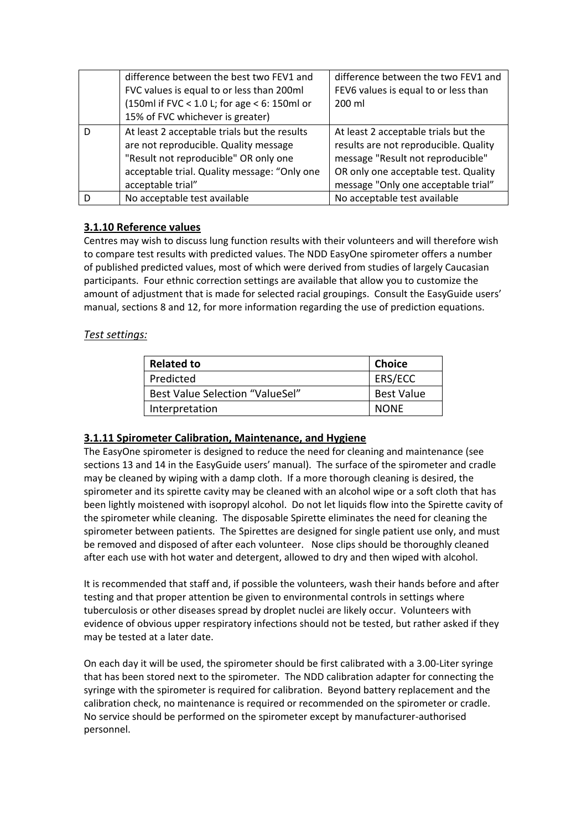|   | difference between the best two FEV1 and<br>FVC values is equal to or less than 200ml<br>$(150ml$ if FVC < 1.0 L; for age < 6: 150ml or<br>15% of FVC whichever is greater)                         | difference between the two FEV1 and<br>FEV6 values is equal to or less than<br>200 ml                                                                                                             |
|---|-----------------------------------------------------------------------------------------------------------------------------------------------------------------------------------------------------|---------------------------------------------------------------------------------------------------------------------------------------------------------------------------------------------------|
| D | At least 2 acceptable trials but the results<br>are not reproducible. Quality message<br>"Result not reproducible" OR only one<br>acceptable trial. Quality message: "Only one<br>acceptable trial" | At least 2 acceptable trials but the<br>results are not reproducible. Quality<br>message "Result not reproducible"<br>OR only one acceptable test. Quality<br>message "Only one acceptable trial" |
|   | No acceptable test available                                                                                                                                                                        | No acceptable test available                                                                                                                                                                      |

## **3.1.10 Reference values**

Centres may wish to discuss lung function results with their volunteers and will therefore wish to compare test results with predicted values. The NDD EasyOne spirometer offers a number of published predicted values, most of which were derived from studies of largely Caucasian participants. Four ethnic correction settings are available that allow you to customize the amount of adjustment that is made for selected racial groupings. Consult the EasyGuide users' manual, sections 8 and 12, for more information regarding the use of prediction equations.

## *Test settings:*

| <b>Related to</b>                      | <b>Choice</b>     |
|----------------------------------------|-------------------|
| Predicted                              | ERS/ECC           |
| <b>Best Value Selection "ValueSel"</b> | <b>Best Value</b> |
| Interpretation                         | <b>NONF</b>       |

## **3.1.11 Spirometer Calibration, Maintenance, and Hygiene**

The EasyOne spirometer is designed to reduce the need for cleaning and maintenance (see sections 13 and 14 in the EasyGuide users' manual). The surface of the spirometer and cradle may be cleaned by wiping with a damp cloth. If a more thorough cleaning is desired, the spirometer and its spirette cavity may be cleaned with an alcohol wipe or a soft cloth that has been lightly moistened with isopropyl alcohol. Do not let liquids flow into the Spirette cavity of the spirometer while cleaning. The disposable Spirette eliminates the need for cleaning the spirometer between patients. The Spirettes are designed for single patient use only, and must be removed and disposed of after each volunteer. Nose clips should be thoroughly cleaned after each use with hot water and detergent, allowed to dry and then wiped with alcohol.

It is recommended that staff and, if possible the volunteers, wash their hands before and after testing and that proper attention be given to environmental controls in settings where tuberculosis or other diseases spread by droplet nuclei are likely occur. Volunteers with evidence of obvious upper respiratory infections should not be tested, but rather asked if they may be tested at a later date.

On each day it will be used, the spirometer should be first calibrated with a 3.00‐Liter syringe that has been stored next to the spirometer. The NDD calibration adapter for connecting the syringe with the spirometer is required for calibration. Beyond battery replacement and the calibration check, no maintenance is required or recommended on the spirometer or cradle. No service should be performed on the spirometer except by manufacturer‐authorised personnel.